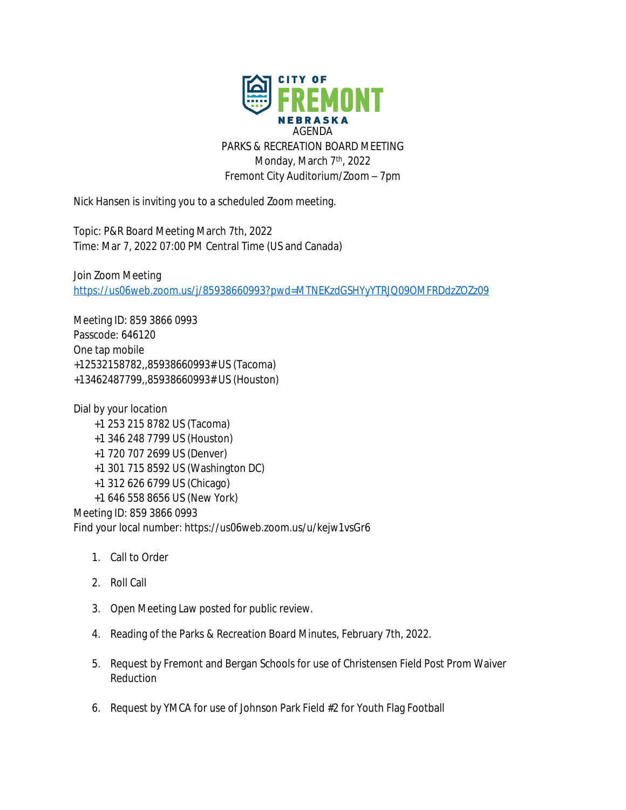

Nick Hansen is inviting you to a scheduled Zoom meeting.

Topic: P&R Board Meeting March 7th, 2022 Time: Mar 7, 2022 07:00 PM Central Time (US and Canada)

Join Zoom Meeting <https://us06web.zoom.us/j/85938660993?pwd=MTNEKzdGSHYyYTRJQ09OMFRDdzZOZz09>

Meeting ID: 859 3866 0993 Passcode: 646120 One tap mobile +12532158782,,85938660993# US (Tacoma) +13462487799,,85938660993# US (Houston)

Dial by your location +1 253 215 8782 US (Tacoma) +1 346 248 7799 US (Houston) +1 720 707 2699 US (Denver) +1 301 715 8592 US (Washington DC) +1 312 626 6799 US (Chicago) +1 646 558 8656 US (New York) Meeting ID: 859 3866 0993

Find your local number: https://us06web.zoom.us/u/kejw1vsGr6

- 1. Call to Order
- 2. Roll Call
- 3. Open Meeting Law posted for public review.
- 4. Reading of the Parks & Recreation Board Minutes, February 7th, 2022.
- 5. Request by Fremont and Bergan Schools for use of Christensen Field Post Prom Waiver Reduction
- 6. Request by YMCA for use of Johnson Park Field #2 for Youth Flag Football